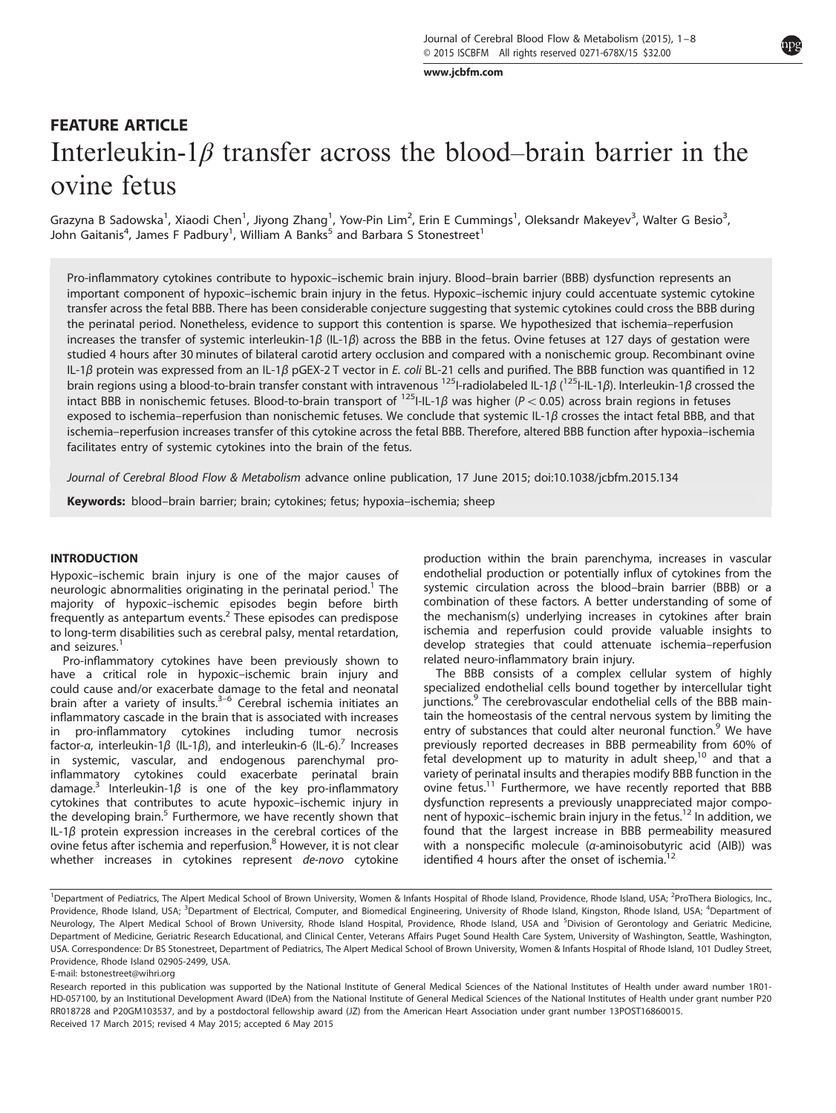[www.jcbfm.com](http://www.jcbfm.com)

# FEATURE ARTICLE Interleukin-1 $\beta$  transfer across the blood–brain barrier in the ovine fetus

Grazyna B Sadowska<sup>1</sup>, Xiaodi Chen<sup>1</sup>, Jiyong Zhang<sup>1</sup>, Yow-Pin Lim<sup>2</sup>, Erin E Cummings<sup>1</sup>, Oleksandr Makeyev<sup>3</sup>, Walter G Besio<sup>3</sup>, John Gaitanis<sup>4</sup>, James F Padbury<sup>1</sup>, William A Banks<sup>5</sup> and Barbara S Stonestreet<sup>1</sup>

Pro-inflammatory cytokines contribute to hypoxic–ischemic brain injury. Blood–brain barrier (BBB) dysfunction represents an important component of hypoxic–ischemic brain injury in the fetus. Hypoxic–ischemic injury could accentuate systemic cytokine transfer across the fetal BBB. There has been considerable conjecture suggesting that systemic cytokines could cross the BBB during the perinatal period. Nonetheless, evidence to support this contention is sparse. We hypothesized that ischemia–reperfusion increases the transfer of systemic interleukin-1 $\beta$  (IL-1 $\beta$ ) across the BBB in the fetus. Ovine fetuses at 127 days of gestation were studied 4 hours after 30 minutes of bilateral carotid artery occlusion and compared with a nonischemic group. Recombinant ovine IL-1β protein was expressed from an IL-1β pGEX-2 T vector in E. coli BL-21 cells and purified. The BBB function was quantified in 12 brain regions using a blood-to-brain transfer constant with intravenous <sup>125</sup>I-radiolabeled IL-1β (<sup>125</sup>I-IL-1β). Interleukin-1β crossed the intact BBB in nonischemic fetuses. Blood-to-brain transport of  $^{125}$ I-IL-1β was higher (P<0.05) across brain regions in fetuses exposed to ischemia–reperfusion than nonischemic fetuses. We conclude that systemic IL-1 $\beta$  crosses the intact fetal BBB, and that ischemia–reperfusion increases transfer of this cytokine across the fetal BBB. Therefore, altered BBB function after hypoxia–ischemia facilitates entry of systemic cytokines into the brain of the fetus.

Journal of Cerebral Blood Flow & Metabolism advance online publication, 17 June 2015; doi[:10.1038/jcbfm.2015.134](http://dx.doi.org/10.1038/jcbfm.2015.134)

Keywords: blood–brain barrier; brain; cytokines; fetus; hypoxia–ischemia; sheep

## INTRODUCTION

Hypoxic–ischemic brain injury is one of the major causes of neurologic abnormalities originating in the perinatal period.<sup>[1](#page-6-0)</sup> The majority of hypoxic–ischemic episodes begin before birth frequently as antepartum events. $2$  These episodes can predispose to long-term disabilities such as cerebral palsy, mental retardation, and seizures.<sup>[1](#page-6-0)</sup>

Pro-inflammatory cytokines have been previously shown to have a critical role in hypoxic–ischemic brain injury and could cause and/or exacerbate [dam](#page-6-0)age to the fetal and neonatal brain after a variety of insults. $3-6$  Cerebral ischemia initiates an inflammatory cascade in the brain that is associated with increases in pro-inflammatory cytokines including tumor necrosis factor-α, interleukin-1β (IL-1β), and interleukin-6 (IL-6).<sup>[7](#page-6-0)</sup> Increases in systemic, vascular, and endogenous parenchymal proinflammatory cytokines could exacerbate perinatal brain damage.<sup>[3](#page-6-0)</sup> Interleukin-1 $\beta$  is one of the key pro-inflammatory cytokines that contributes to acute hypoxic–ischemic injury in the developing brain. $5$  Furthermore, we have recently shown that IL-1β protein expression increases in the cerebral cortices of the ovine fetus after ischemia and reperfusion.<sup>[8](#page-6-0)</sup> However, it is not clear whether increases in cytokines represent de-novo cytokine production within the brain parenchyma, increases in vascular endothelial production or potentially influx of cytokines from the systemic circulation across the blood–brain barrier (BBB) or a combination of these factors. A better understanding of some of the mechanism(s) underlying increases in cytokines after brain ischemia and reperfusion could provide valuable insights to develop strategies that could attenuate ischemia–reperfusion related neuro-inflammatory brain injury.

The BBB consists of a complex cellular system of highly specialized endothelial cells bound together by intercellular tight junctions.<sup>9</sup> The cerebrovascular endothelial cells of the BBB maintain the homeostasis of the central nervous system by limiting the entry of substances that could alter neuronal function.<sup>9</sup> We have previously reported decreases in BBB permeability from 60% of fetal development up to maturity in adult sheep,<sup>[10](#page-6-0)</sup> and that a variety of perinatal insults and therapies modify BBB function in the ovine fetus.<sup>11</sup> Furthermore, we have recently reported that BBB dysfunction represents a previously unappreciated major component of hypoxic-ischemic brain injury in the fetus.<sup>12</sup> In addition, we found that the largest increase in BBB permeability measured with a nonspecific molecule (α-aminoisobutyric acid (AIB)) was identified 4 hours after the onset of ischemia.<sup>[12](#page-6-0)</sup>

E-mail: [bstonestreet@wihri.org](mailto:bstonestreet@wihri.org)



<sup>&</sup>lt;sup>1</sup>Department of Pediatrics, The Alpert Medical School of Brown University, Women & Infants Hospital of Rhode Island, Providence, Rhode Island, USA; <sup>2</sup>ProThera Biologics, Inc., Providence, Rhode Island, USA; <sup>3</sup>Department of Electrical, Computer, and Biomedical Engineering, University of Rhode Island, Kingston, Rhode Island, USA; <sup>4</sup>Department of Neurology, The Alpert Medical School of Brown University, Rhode Island Hospital, Providence, Rhode Island, USA and <sup>5</sup>Division of Gerontology and Geriatric Medicine, Department of Medicine, Geriatric Research Educational, and Clinical Center, Veterans Affairs Puget Sound Health Care System, University of Washington, Seattle, Washington, USA. Correspondence: Dr BS Stonestreet, Department of Pediatrics, The Alpert Medical School of Brown University, Women & Infants Hospital of Rhode Island, 101 Dudley Street, Providence, Rhode Island 02905-2499, USA.

Research reported in this publication was supported by the National Institute of General Medical Sciences of the National Institutes of Health under award number 1R01- HD-057100, by an Institutional Development Award (IDeA) from the National Institute of General Medical Sciences of the National Institutes of Health under grant number P20 RR018728 and P20GM103537, and by a postdoctoral fellowship award (JZ) from the American Heart Association under grant number 13POST16860015. Received 17 March 2015; revised 4 May 2015; accepted 6 May 2015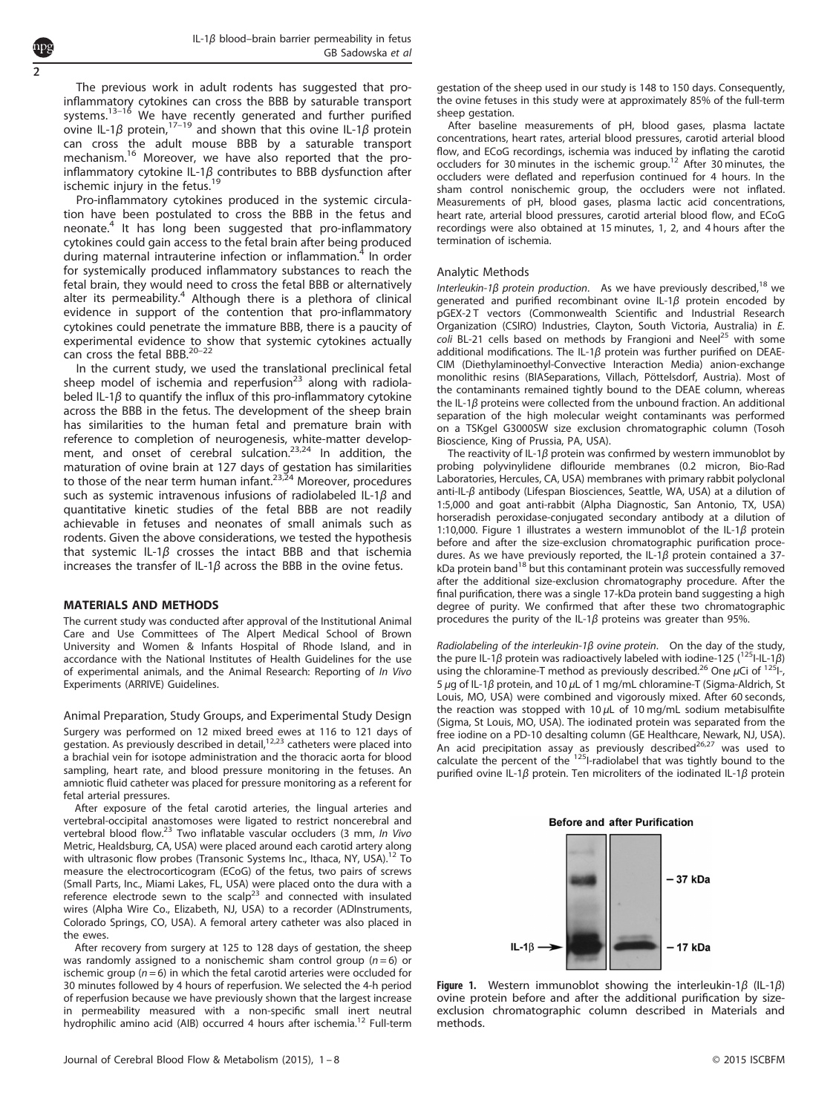The previous work in adult rodents has suggested that proinflammatory cytokines can cross the BBB by saturable transport systems.<sup>13-[16](#page-6-0)</sup> We [have](#page-6-0) recently generated and further purified ovine IL-1β protein,<sup>17–19</sup> and shown that this ovine IL-1β protein can cross the adult mouse BBB by a saturable transport mechanism.<sup>16</sup> Moreover, we have also reported that the proinflammatory cytokine IL-1 $\beta$  contributes to BBB dysfunction after ischemic injury in the fetus.<sup>[19](#page-6-0)</sup>

Pro-inflammatory cytokines produced in the systemic circulation have been postulated to cross the BBB in the fetus and neonate[.4](#page-6-0) It has long been suggested that pro-inflammatory cytokines could gain access to the fetal brain after being produced during maternal intrauterine infection or inflammation.<sup>[4](#page-6-0)</sup> In order for systemically produced inflammatory substances to reach the fetal brain, they would need to cross the fetal BBB or alternatively alter its permeability.<sup>4</sup> Although there is a plethora of clinical evidence in support of the contention that pro-inflammatory cytokines could penetrate the immature BBB, there is a paucity of experimental evidence to show that systemic cytokines actually can cross the fetal BBB.<sup>[20](#page-7-0)-22</sup>

In the current study, we used the translational preclinical fetal sheep model of ischemia and reperfusion<sup>[23](#page-7-0)</sup> along with radiolabeled IL-1 $\beta$  to quantify the influx of this pro-inflammatory cytokine across the BBB in the fetus. The development of the sheep brain has similarities to the human fetal and premature brain with reference to completion of neurogenesis, white-matter develop-<br>ment, and onset of cerebral sulcation.<sup>[23,24](#page-7-0)</sup> In addition, the maturation of ovine brain at 127 days of gestation has similarities<br>to those of the near term human infant.<sup>23,[24](#page-7-0)</sup> Moreover, procedures such as systemic intravenous infusions of radiolabeled IL-1β and quantitative kinetic studies of the fetal BBB are not readily achievable in fetuses and neonates of small animals such as rodents. Given the above considerations, we tested the hypothesis that systemic IL-1 $\beta$  crosses the intact BBB and that ischemia increases the transfer of IL-1 $\beta$  across the BBB in the ovine fetus.

## MATERIALS AND METHODS

2

The current study was conducted after approval of the Institutional Animal Care and Use Committees of The Alpert Medical School of Brown University and Women & Infants Hospital of Rhode Island, and in accordance with the National Institutes of Health Guidelines for the use of experimental animals, and the Animal Research: Reporting of In Vivo Experiments (ARRIVE) Guidelines.

Animal Preparation, Study Groups, and Experimental Study Design Surgery was performed on 12 mixed breed ewes at 116 to 121 days of gestation. As previously described in detail,<sup>12,[23](#page-7-0)</sup> catheters were placed into a brachial vein for isotope administration and the thoracic aorta for blood sampling, heart rate, and blood pressure monitoring in the fetuses. An amniotic fluid catheter was placed for pressure monitoring as a referent for fetal arterial pressures.

After exposure of the fetal carotid arteries, the lingual arteries and vertebral-occipital anastomoses were ligated to restrict noncerebral and vertebral blood flow.<sup>[23](#page-7-0)</sup> Two inflatable vascular occluders (3 mm, In Vivo Metric, Healdsburg, CA, USA) were placed around each carotid artery along with ultrasonic flow probes (Transonic Systems Inc., Ithaca, NY, USA).<sup>[12](#page-6-0)</sup> To measure the electrocorticogram (ECoG) of the fetus, two pairs of screws (Small Parts, Inc., Miami Lakes, FL, USA) were placed onto the dura with a<br>reference electrode sewn to the scalp<sup>23</sup> and connected with insulated wires (Alpha Wire Co., Elizabeth, NJ, USA) to a recorder (ADInstruments, Colorado Springs, CO, USA). A femoral artery catheter was also placed in the ewes.

After recovery from surgery at 125 to 128 days of gestation, the sheep was randomly assigned to a nonischemic sham control group ( $n = 6$ ) or ischemic group ( $n = 6$ ) in which the fetal carotid arteries were occluded for 30 minutes followed by 4 hours of reperfusion. We selected the 4-h period of reperfusion because we have previously shown that the largest increase in permeability measured with a non-specific small inert neutral hydrophilic amino acid (AIB) occurred 4 hours after ischemia.<sup>[12](#page-6-0)</sup> Full-term gestation of the sheep used in our study is 148 to 150 days. Consequently, the ovine fetuses in this study were at approximately 85% of the full-term sheep gestation.

After baseline measurements of pH, blood gases, plasma lactate concentrations, heart rates, arterial blood pressures, carotid arterial blood flow, and ECoG recordings, ischemia was induced by inflating the carotid occluders for 30 minutes in the ischemic group.[12](#page-6-0) After 30 minutes, the occluders were deflated and reperfusion continued for 4 hours. In the sham control nonischemic group, the occluders were not inflated. Measurements of pH, blood gases, plasma lactic acid concentrations, heart rate, arterial blood pressures, carotid arterial blood flow, and ECoG recordings were also obtained at 15 minutes, 1, 2, and 4 hours after the termination of ischemia.

#### Analytic Methods

Interleukin-1β protein production. As we have previously described,<sup>[18](#page-6-0)</sup> we generated and purified recombinant ovine IL-1β protein encoded by pGEX-2 T vectors (Commonwealth Scientific and Industrial Research Organization (CSIRO) Industries, Clayton, South Victoria, Australia) in E. coli BL-21 cells based on methods by Frangioni and Neel<sup>25</sup> with some additional modifications. The IL-1 $\beta$  protein was further purified on DEAE-CIM (Diethylaminoethyl-Convective Interaction Media) anion-exchange monolithic resins (BIASeparations, Villach, Pöttelsdorf, Austria). Most of the contaminants remained tightly bound to the DEAE column, whereas the IL-1 $\beta$  proteins were collected from the unbound fraction. An additional separation of the high molecular weight contaminants was performed on a TSKgel G3000SW size exclusion chromatographic column (Tosoh Bioscience, King of Prussia, PA, USA).

The reactivity of IL-1 $\beta$  protein was confirmed by western immunoblot by probing polyvinylidene diflouride membranes (0.2 micron, Bio-Rad Laboratories, Hercules, CA, USA) membranes with primary rabbit polyclonal anti-IL-β antibody (Lifespan Biosciences, Seattle, WA, USA) at a dilution of 1:5,000 and goat anti-rabbit (Alpha Diagnostic, San Antonio, TX, USA) horseradish peroxidase-conjugated secondary antibody at a dilution of 1:10,000. Figure 1 illustrates a western immunoblot of the IL-1 $\beta$  protein before and after the size-exclusion chromatographic purification procedures. As we have previously reported, the IL-1β protein contained a 37 kDa protein band<sup>18</sup> but this contaminant protein was successfully removed after the additional size-exclusion chromatography procedure. After the final purification, there was a single 17-kDa protein band suggesting a high degree of purity. We confirmed that after these two chromatographic procedures the purity of the IL-1 $\beta$  proteins was greater than 95%.

Radiolabeling of the interleukin-1β ovine protein. On the day of the study, the pure IL-1*β* protein was radioactively labeled with iodine-125 ( $^{125}$ I-IL-1*β*) using the chloramine-T method as previously described.<sup>[26](#page-7-0)</sup> One  $\mu$ Ci of <sup>125</sup>l-, 5 μg of IL-1β protein, and 10 μL of 1 mg/mL chloramine-T (Sigma-Aldrich, St Louis, MO, USA) were combined and vigorously mixed. After 60 seconds, the reaction was stopped with 10  $\mu$ L of 10 mg/mL sodium metabisulfite (Sigma, St Louis, MO, USA). The iodinated protein was separated from the free iodine on a PD-10 desalting column (GE Healthcare, Newark, NJ, USA). An acid precipitation assay as previously described<sup>26,27</sup> was used to calculate the percent of the  $^{125}$ I-radiolabel that was tightly bound to the purified ovine IL-1β protein. Ten microliters of the iodinated IL-1β protein





Figure 1. Western immunoblot showing the interleukin-1 $\beta$  (IL-1 $\beta$ ) ovine protein before and after the additional purification by sizeexclusion chromatographic column described in Materials and methods.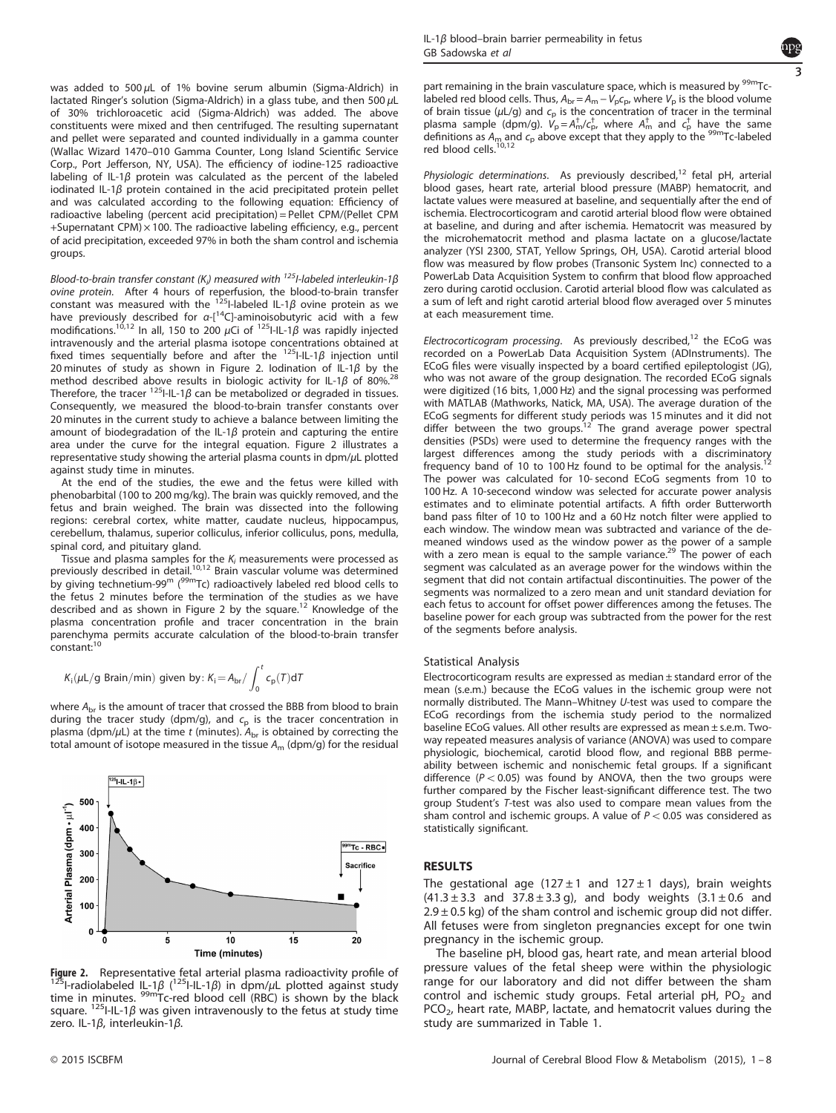was added to 500  $\mu$ L of 1% bovine serum albumin (Sigma-Aldrich) in lactated Ringer's solution (Sigma-Aldrich) in a glass tube, and then 500 μL of 30% trichloroacetic acid (Sigma-Aldrich) was added. The above constituents were mixed and then centrifuged. The resulting supernatant and pellet were separated and counted individually in a gamma counter (Wallac Wizard 1470–010 Gamma Counter, Long Island Scientific Service Corp., Port Jefferson, NY, USA). The efficiency of iodine-125 radioactive labeling of IL-1β protein was calculated as the percent of the labeled iodinated IL-1β protein contained in the acid precipitated protein pellet and was calculated according to the following equation: Efficiency of radioactive labeling (percent acid precipitation) = Pellet CPM/(Pellet CPM +Supernatant CPM) × 100. The radioactive labeling efficiency, e.g., percent of acid precipitation, exceeded 97% in both the sham control and ischemia groups.

Blood-to-brain transfer constant (K<sub>i</sub>) measured with <sup>125</sup>I-labeled interleukin-1β ovine protein. After 4 hours of reperfusion, the blood-to-brain transfer<br>constant was measured with the <sup>125</sup>I-labeled IL-1β ovine protein as we have previously described for  $a-[14C]$ -aminoisobutyric acid with a few modifications.<sup>10,[12](#page-6-0)</sup> In all, 150 to 200  $\mu$ Ci of <sup>125</sup>I-IL-1 $\beta$  was rapidly injected intravenously and the arterial plasma isotope concentrations obtained at fixed times sequentially before and after the 125I-IL-1β injection until 20 minutes of study as shown in Figure 2. Iodination of IL-1β by the method described above results in biologic activity for IL-1β of 80%.[28](#page-7-0) Therefore, the tracer <sup>125</sup>I-IL-1 $\beta$  can be metabolized or degraded in tissues. Consequently, we measured the blood-to-brain transfer constants over 20 minutes in the current study to achieve a balance between limiting the amount of biodegradation of the IL-1 $\beta$  protein and capturing the entire area under the curve for the integral equation. Figure 2 illustrates a representative study showing the arterial plasma counts in dpm/μL plotted against study time in minutes.

At the end of the studies, the ewe and the fetus were killed with phenobarbital (100 to 200 mg/kg). The brain was quickly removed, and the fetus and brain weighed. The brain was dissected into the following regions: cerebral cortex, white matter, caudate nucleus, hippocampus, cerebellum, thalamus, superior colliculus, inferior colliculus, pons, medulla, spinal cord, and pituitary gland.

Tissue and plasma samples for the  $K_i$  measurements were processed as previously described in detail.<sup>[10,12](#page-6-0)</sup> Brain vascular volume was determined .<br>by giving technetium-99<sup>m</sup> (<sup>99m</sup>Tc) radioactively labeled red blood cells to the fetus 2 minutes before the termination of the studies as we have described and as shown in Figure 2 by the square.<sup>12</sup> Knowledge of the plasma concentration profile and tracer concentration in the brain parenchyma permits accurate calculation of the blood-to-brain transfer constant:

$$
\textit{K}_{i}(\mu L / g \; \textit{Brain/min}) \; \textit{given by:} \; \textit{K}_{i} \!=\! \textit{A}_{br}/\int_{0}^{t} c_{p}(T) dT
$$

where  $A<sub>br</sub>$  is the amount of tracer that crossed the BBB from blood to brain during the tracer study (dpm/g), and  $c_p$  is the tracer concentration in plasma (dpm/ $\mu$ L) at the time t (minutes).  $A_{\rm br}$  is obtained by correcting the total amount of isotope measured in the tissue  $A_m$  (dpm/g) for the residual



**Figure 2.** Representative fetal arterial plasma radioactivity profile of  $^{125}$ I-radiolabeled IL-1β (<sup>125</sup>I-IL-1β) in dpm/μL plotted against study time in minutes. <sup>99m'</sup>Tc-red blood cell (RBC) is shown by the black square. <sup>125</sup>I-IL-1 $\beta$  was given intravenously to the fetus at study time zero. IL-1β, interleukin-1β.



part remaining in the brain vasculature space, which is measured by <sup>99m</sup>Tclabeled red blood cells. Thus,  $A_{\rm br} = A_{\rm m} - V_{\rm p}c_{\rm p}$ , where  $V_{\rm p}$  is the blood volume of brain tissue ( $\mu$ L/g) and  $c_p$  is the concentration of tracer in the terminal plasma sample (dpm/g).  $V_p = A_m^{\dagger}/c_p^{\dagger}$ , where  $A_m^{\dagger}$  and  $c_p^{\dagger}$  have the same definitions as  $A_m$  and  $c_p$  above except that they apply to the <sup>99m</sup>Tc-labeled red blood cells.<sup>[10,12](#page-6-0)</sup>

Physiologic determinations. As previously described, $^{12}$  $^{12}$  $^{12}$  fetal pH, arterial blood gases, heart rate, arterial blood pressure (MABP) hematocrit, and lactate values were measured at baseline, and sequentially after the end of ischemia. Electrocorticogram and carotid arterial blood flow were obtained at baseline, and during and after ischemia. Hematocrit was measured by the microhematocrit method and plasma lactate on a glucose/lactate analyzer (YSI 2300, STAT, Yellow Springs, OH, USA). Carotid arterial blood flow was measured by flow probes (Transonic System Inc) connected to a PowerLab Data Acquisition System to confirm that blood flow approached zero during carotid occlusion. Carotid arterial blood flow was calculated as a sum of left and right carotid arterial blood flow averaged over 5 minutes at each measurement time.

Electrocorticogram processing. As previously described, $12$  the ECoG was recorded on a PowerLab Data Acquisition System (ADInstruments). The ECoG files were visually inspected by a board certified epileptologist (JG), who was not aware of the group designation. The recorded ECoG signals were digitized (16 bits, 1,000 Hz) and the signal processing was performed with MATLAB (Mathworks, Natick, MA, USA). The average duration of the ECoG segments for different study periods was 15 minutes and it did not differ between the two groups.<sup>[12](#page-6-0)</sup> The grand average power spectral densities (PSDs) were used to determine the frequency ranges with the largest differences among the study periods with a discriminatory<br>frequency band of 10 to 100 Hz found to be optimal for the analysis.<sup>[12](#page-6-0)</sup> The power was calculated for 10- second ECoG segments from 10 to 100 Hz. A 10-sececond window was selected for accurate power analysis estimates and to eliminate potential artifacts. A fifth order Butterworth band pass filter of 10 to 100 Hz and a 60 Hz notch filter were applied to each window. The window mean was subtracted and variance of the de-meaned windows used as the window power as the power of a sample<br>with a zero mean is equal to the sample variance.<sup>[29](#page-7-0)</sup> The power of each segment was calculated as an average power for the windows within the segment that did not contain artifactual discontinuities. The power of the segments was normalized to a zero mean and unit standard deviation for each fetus to account for offset power differences among the fetuses. The baseline power for each group was subtracted from the power for the rest of the segments before analysis.

#### Statistical Analysis

Electrocorticogram results are expressed as median  $\pm$  standard error of the mean (s.e.m.) because the ECoG values in the ischemic group were not normally distributed. The Mann–Whitney U-test was used to compare the ECoG recordings from the ischemia study period to the normalized baseline ECoG values. All other results are expressed as mean ± s.e.m. Twoway repeated measures analysis of variance (ANOVA) was used to compare physiologic, biochemical, carotid blood flow, and regional BBB permeability between ischemic and nonischemic fetal groups. If a significant difference ( $P < 0.05$ ) was found by ANOVA, then the two groups were further compared by the Fischer least-significant difference test. The two group Student's T-test was also used to compare mean values from the sham control and ischemic groups. A value of  $P < 0.05$  was considered as statistically significant.

#### RESULTS

The gestational age (127 $\pm$ 1 and 127 $\pm$ 1 days), brain weights  $(41.3 \pm 3.3 \text{ and } 37.8 \pm 3.3 \text{ q})$ , and body weights  $(3.1 \pm 0.6 \text{ and } 1.3 \pm 3.3 \text{ q})$  $2.9 \pm 0.5$  kg) of the sham control and ischemic group did not differ. All fetuses were from singleton pregnancies except for one twin pregnancy in the ischemic group.

The baseline pH, blood gas, heart rate, and mean arterial blood pressure values of the fetal sheep were within the physiologic range for our laboratory and did not differ between the sham control and ischemic study groups. Fetal arterial pH,  $PO<sub>2</sub>$  and  $PCO<sub>2</sub>$ , heart rate, MABP, lactate, and hematocrit values during the study are summarized in [Table 1.](#page-3-0)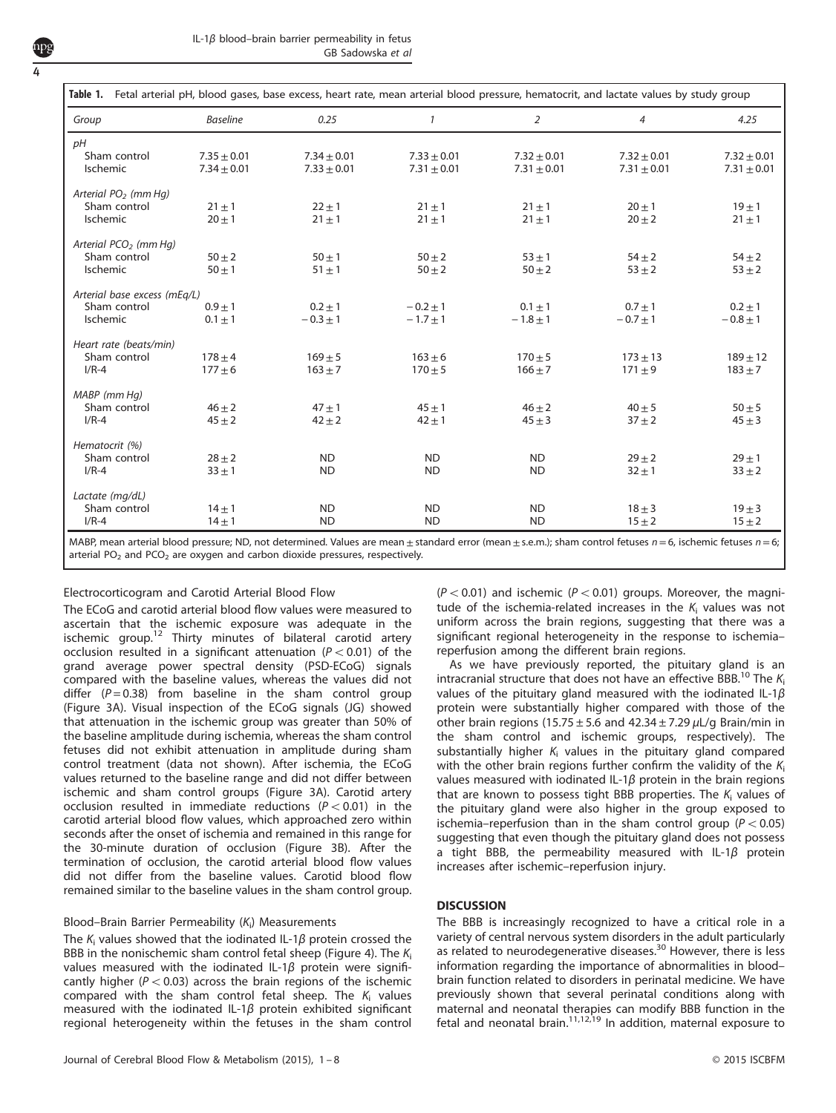<span id="page-3-0"></span>

| Group                             | <b>Baseline</b> | 0.25            | $\mathcal{I}$   | $\overline{2}$  | $\overline{4}$  | 4.25            |
|-----------------------------------|-----------------|-----------------|-----------------|-----------------|-----------------|-----------------|
| pH                                |                 |                 |                 |                 |                 |                 |
| Sham control                      | $7.35 \pm 0.01$ | $7.34 \pm 0.01$ | $7.33 \pm 0.01$ | $7.32 \pm 0.01$ | $7.32 \pm 0.01$ | $7.32 \pm 0.01$ |
| Ischemic                          | $7.34 \pm 0.01$ | $7.33 \pm 0.01$ | $7.31 \pm 0.01$ | $7.31 \pm 0.01$ | $7.31 \pm 0.01$ | $7.31 \pm 0.01$ |
| Arterial $PO2$ (mm Hg)            |                 |                 |                 |                 |                 |                 |
| Sham control                      | $21 \pm 1$      | $22 \pm 1$      | $21 \pm 1$      | $21 \pm 1$      | $20 \pm 1$      | $19 + 1$        |
| Ischemic                          | $20 + 1$        | $21 \pm 1$      | $21 \pm 1$      | $21 \pm 1$      | $20 \pm 2$      | $21 \pm 1$      |
| Arterial PCO <sub>2</sub> (mm Hq) |                 |                 |                 |                 |                 |                 |
| Sham control                      | $50 + 2$        | $50 + 1$        | $50 + 2$        | $53 + 1$        | $54 + 2$        | $54 + 2$        |
| Ischemic                          | $50 + 1$        | $51 + 1$        | $50 + 2$        | $50 + 2$        | $53 + 2$        | $53 + 2$        |
| Arterial base excess (mEq/L)      |                 |                 |                 |                 |                 |                 |
| Sham control                      | $0.9 + 1$       | $0.2 + 1$       | $-0.2 \pm 1$    | $0.1 \pm 1$     | $0.7 \pm 1$     | $0.2 + 1$       |
| Ischemic                          | $0.1 \pm 1$     | $-0.3 \pm 1$    | $-1.7 \pm 1$    | $-1.8 \pm 1$    | $-0.7 \pm 1$    | $-0.8 \pm 1$    |
| Heart rate (beats/min)            |                 |                 |                 |                 |                 |                 |
| Sham control                      | $178 \pm 4$     | $169 + 5$       | $163 \pm 6$     | $170 \pm 5$     | $173 \pm 13$    | $189 + 12$      |
| $I/R-4$                           | $177 + 6$       | $163 + 7$       | $170 + 5$       | $166 + 7$       | $171 + 9$       | $183 + 7$       |
| MABP (mm Hq)                      |                 |                 |                 |                 |                 |                 |
| Sham control                      | $46 + 2$        | $47 + 1$        | $45 + 1$        | $46 + 2$        | $40 \pm 5$      | $50 \pm 5$      |
| $I/R-4$                           | $45 + 2$        | $42 + 2$        | $42 + 1$        | $45 + 3$        | $37 + 2$        | $45 + 3$        |
| Hematocrit (%)                    |                 |                 |                 |                 |                 |                 |
| Sham control                      | $28 \pm 2$      | <b>ND</b>       | <b>ND</b>       | <b>ND</b>       | $29 + 2$        | $29 + 1$        |
| $I/R-4$                           | $33 + 1$        | <b>ND</b>       | <b>ND</b>       | <b>ND</b>       | $32 + 1$        | $33 \pm 2$      |
| Lactate (mg/dL)                   |                 |                 |                 |                 |                 |                 |
| Sham control                      | $14 \pm 1$      | <b>ND</b>       | <b>ND</b>       | <b>ND</b>       | $18 \pm 3$      | $19 + 3$        |
| $I/R-4$                           | $14 \pm 1$      | <b>ND</b>       | <b>ND</b>       | <b>ND</b>       | $15 + 2$        | $15 \pm 2$      |

MABP, mean arterial blood pressure; ND, not determined. Values are mean  $\pm$  standard error (mean  $\pm$  s.e.m.); sham control fetuses  $n=6$ , ischemic fetuses  $n=6$ arterial PO<sub>2</sub> and PCO<sub>2</sub> are oxygen and carbon dioxide pressures, respectively.

## Electrocorticogram and Carotid Arterial Blood Flow

The ECoG and carotid arterial blood flow values were measured to ascertain that the ischemic exposure was adequate in the ischemic group.<sup>[12](#page-6-0)</sup> Thirty minutes of bilateral carotid artery occlusion resulted in a significant attenuation ( $P < 0.01$ ) of the grand average power spectral density (PSD-ECoG) signals compared with the baseline values, whereas the values did not differ  $(P = 0.38)$  from baseline in the sham control group ([Figure 3A\)](#page-4-0). Visual inspection of the ECoG signals (JG) showed that attenuation in the ischemic group was greater than 50% of the baseline amplitude during ischemia, whereas the sham control fetuses did not exhibit attenuation in amplitude during sham control treatment (data not shown). After ischemia, the ECoG values returned to the baseline range and did not differ between ischemic and sham control groups [\(Figure 3A\)](#page-4-0). Carotid artery occlusion resulted in immediate reductions ( $P < 0.01$ ) in the carotid arterial blood flow values, which approached zero within seconds after the onset of ischemia and remained in this range for the 30-minute duration of occlusion ([Figure 3B](#page-4-0)). After the termination of occlusion, the carotid arterial blood flow values did not differ from the baseline values. Carotid blood flow remained similar to the baseline values in the sham control group.

# Blood-Brain Barrier Permeability (K<sub>i</sub>) Measurements

The  $K_i$  values showed that the iodinated IL-1 $\beta$  protein crossed the BBB in the nonischemic sham control fetal sheep ([Figure 4](#page-5-0)). The  $K_i$ values measured with the iodinated IL-1 $\beta$  protein were significantly higher ( $P < 0.03$ ) across the brain regions of the ischemic compared with the sham control fetal sheep. The  $K_i$  values measured with the iodinated IL-1 $\beta$  protein exhibited significant regional heterogeneity within the fetuses in the sham control  $(P < 0.01)$  and ischemic (P < 0.01) groups. Moreover, the magnitude of the ischemia-related increases in the  $K_i$  values was not uniform across the brain regions, suggesting that there was a significant regional heterogeneity in the response to ischemia– reperfusion among the different brain regions.

As we have previously reported, the pituitary gland is an intracranial structure that does not have an effective BBB.<sup>[10](#page-6-0)</sup> The  $K_i$ values of the pituitary gland measured with the iodinated IL-1 $\beta$ protein were substantially higher compared with those of the other brain regions (15.75  $\pm$  5.6 and 42.34  $\pm$  7.29  $\mu$ L/g Brain/min in the sham control and ischemic groups, respectively). The substantially higher  $K_i$  values in the pituitary gland compared with the other brain regions further confirm the validity of the  $K_i$ values measured with iodinated IL-1 $\beta$  protein in the brain regions that are known to possess tight BBB properties. The  $K_i$  values of the pituitary gland were also higher in the group exposed to ischemia–reperfusion than in the sham control group ( $P < 0.05$ ) suggesting that even though the pituitary gland does not possess a tight BBB, the permeability measured with IL-1 $\beta$  protein increases after ischemic–reperfusion injury.

# **DISCUSSION**

The BBB is increasingly recognized to have a critical role in a variety of central nervous system disorders in the adult particularly as related to neurodegenerative diseases.<sup>[30](#page-7-0)</sup> However, there is less information regarding the importance of abnormalities in blood– brain function related to disorders in perinatal medicine. We have previously shown that several perinatal conditions along with maternal and neonatal therapies can modify BBB function in the fetal and neonatal brain.<sup>11,12,[19](#page-6-0)</sup> In addition, maternal exposure to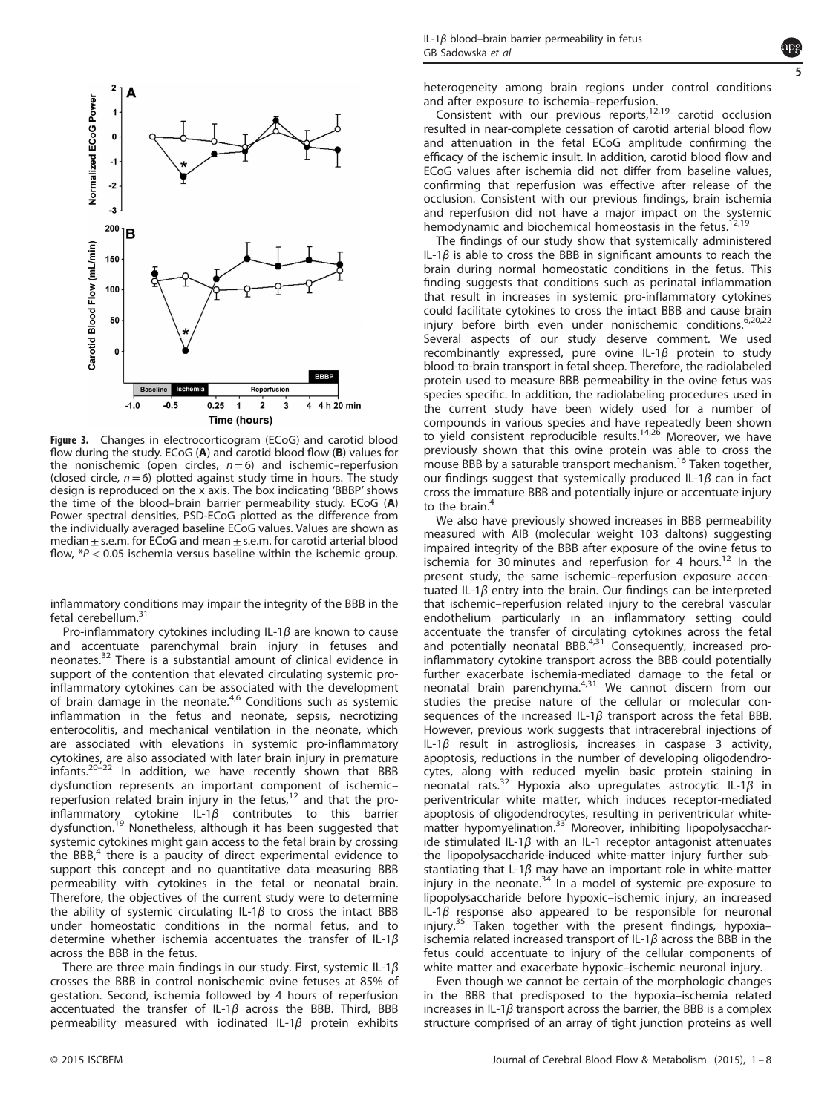<span id="page-4-0"></span>

Figure 3. Changes in electrocorticogram (ECoG) and carotid blood flow during the study. ECoG (A) and carotid blood flow (B) values for the nonischemic (open circles,  $n=6$ ) and ischemic–reperfusion (closed circle,  $n=6$ ) plotted against study time in hours. The study design is reproduced on the x axis. The box indicating 'BBBP' shows the time of the blood–brain barrier permeability study. ECoG (A) Power spectral densities, PSD-ECoG plotted as the difference from the individually averaged baseline ECoG values. Values are shown as median  $\pm$  s.e.m. for ECoG and mean  $\pm$  s.e.m. for carotid arterial blood flow,  $*P < 0.05$  ischemia versus baseline within the ischemic group.

inflammatory conditions may impair the integrity of the BBB in the fetal cerebellum.<sup>[31](#page-7-0)</sup>

Pro-inflammatory cytokines including IL-1 $\beta$  are known to cause and accentuate parenchymal brain injury in fetuses and neonates.[32](#page-7-0) There is a substantial amount of clinical evidence in support of the contention that elevated circulating systemic proinflammatory cytokines can be associated with the development of brain damage in the neonate. $4,6$  Conditions such as systemic inflammation in the fetus and neonate, sepsis, necrotizing enterocolitis, and mechanical ventilation in the neonate, which are associated with elevations in systemic pro-inflammatory cytokines, are also associated with later brain injury in premature infants.[20](#page-7-0)–<sup>22</sup> In addition, we have recently shown that BBB dysfunction represents an important component of ischemic– reperfusion related brain injury in the fetus,<sup>[12](#page-6-0)</sup> and that the proinflammatory cytokine IL-1 $\beta$  contributes to this barrier dysfunction.<sup>[19](#page-6-0)</sup> Nonetheless, although it has been suggested that systemic cytokines might gain access to the fetal brain by crossing the BBB, $4$  there is a paucity of direct experimental evidence to support this concept and no quantitative data measuring BBB permeability with cytokines in the fetal or neonatal brain. Therefore, the objectives of the current study were to determine the ability of systemic circulating IL-1 $\beta$  to cross the intact BBB under homeostatic conditions in the normal fetus, and to determine whether ischemia accentuates the transfer of IL-1 $\beta$ across the BBB in the fetus.

There are three main findings in our study. First, systemic IL-1 $\beta$ crosses the BBB in control nonischemic ovine fetuses at 85% of gestation. Second, ischemia followed by 4 hours of reperfusion accentuated the transfer of IL-1 $\beta$  across the BBB. Third, BBB permeability measured with iodinated IL-1β protein exhibits heterogeneity among brain regions under control conditions and after exposure to ischemia–reperfusion.

Consistent with our previous reports,[12,19](#page-6-0) carotid occlusion resulted in near-complete cessation of carotid arterial blood flow and attenuation in the fetal ECoG amplitude confirming the efficacy of the ischemic insult. In addition, carotid blood flow and ECoG values after ischemia did not differ from baseline values, confirming that reperfusion was effective after release of the occlusion. Consistent with our previous findings, brain ischemia and reperfusion did not have a major impact on the systemic hemodynamic and biochemical homeostasis in the fetus.<sup>[12,19](#page-6-0)</sup>

The findings of our study show that systemically administered IL-1β is able to cross the BBB in significant amounts to reach the brain during normal homeostatic conditions in the fetus. This finding suggests that conditions such as perinatal inflammation that result in increases in systemic pro-inflammatory cytokines could facilitate cytokines to cross the intact BBB and cause brain injury before birth even under nonischemic conditions.<sup>[6](#page-6-0),[20,22](#page-7-0)</sup> Several aspects of our study deserve comment. We used recombinantly expressed, pure ovine IL-1β protein to study blood-to-brain transport in fetal sheep. Therefore, the radiolabeled protein used to measure BBB permeability in the ovine fetus was species specific. In addition, the radiolabeling procedures used in the current study have been widely used for a number of compounds in various species and have repeatedly been shown to yield consistent reproducible results.[14,](#page-6-0)[26](#page-7-0) Moreover, we have previously shown that this ovine protein was able to cross the mouse BBB by a saturable transport mechanism.<sup>[16](#page-6-0)</sup> Taken together. our findings suggest that systemically produced IL-1β can in fact cross the immature BBB and potentially injure or accentuate injury to the brain.<sup>[4](#page-6-0)</sup>

We also have previously showed increases in BBB permeability measured with AIB (molecular weight 103 daltons) suggesting impaired integrity of the BBB after exposure of the ovine fetus to ischemia for 30 minutes and reperfusion for 4 hours.<sup>[12](#page-6-0)</sup> In the present study, the same ischemic–reperfusion exposure accentuated IL-1β entry into the brain. Our findings can be interpreted that ischemic–reperfusion related injury to the cerebral vascular endothelium particularly in an inflammatory setting could accentuate the transfer of circulating cytokines across the fetal<br>and potentially neonatal BBB.<sup>[4](#page-6-0)[,31](#page-7-0)</sup> Consequently, increased proinflammatory cytokine transport across the BBB could potentially further exacerbate ischemia-mediated damage to the fetal or neonatal brain parenchyma.<sup>[4](#page-6-0),[31](#page-7-0)</sup> We cannot discern from our studies the precise nature of the cellular or molecular consequences of the increased IL-1β transport across the fetal BBB. However, previous work suggests that intracerebral injections of IL-1β result in astrogliosis, increases in caspase 3 activity, apoptosis, reductions in the number of developing oligodendrocytes, along with reduced myelin basic protein staining in neonatal rats. $32$  Hypoxia also upregulates astrocytic IL-1 $\beta$  in periventricular white matter, which induces receptor-mediated apoptosis of oligodendrocytes, resulting in periventricular white-matter hypomyelination.<sup>[33](#page-7-0)</sup> Moreover, inhibiting lipopolysaccharide stimulated IL-1 $\beta$  with an IL-1 receptor antagonist attenuates the lipopolysaccharide-induced white-matter injury further sub-stantiating that L-1β may have an important role in white-matter injury in the neonate.<sup>[34](#page-7-0)</sup> In a model of systemic pre-exposure to lipopolysaccharide before hypoxic–ischemic injury, an increased IL-1β response also appeared to be responsible for neuronal injury.[35](#page-7-0) Taken together with the present findings, hypoxia– ischemia related increased transport of IL-1 $\beta$  across the BBB in the fetus could accentuate to injury of the cellular components of white matter and exacerbate hypoxic–ischemic neuronal injury.

Even though we cannot be certain of the morphologic changes in the BBB that predisposed to the hypoxia–ischemia related increases in IL-1 $\beta$  transport across the barrier, the BBB is a complex structure comprised of an array of tight junction proteins as well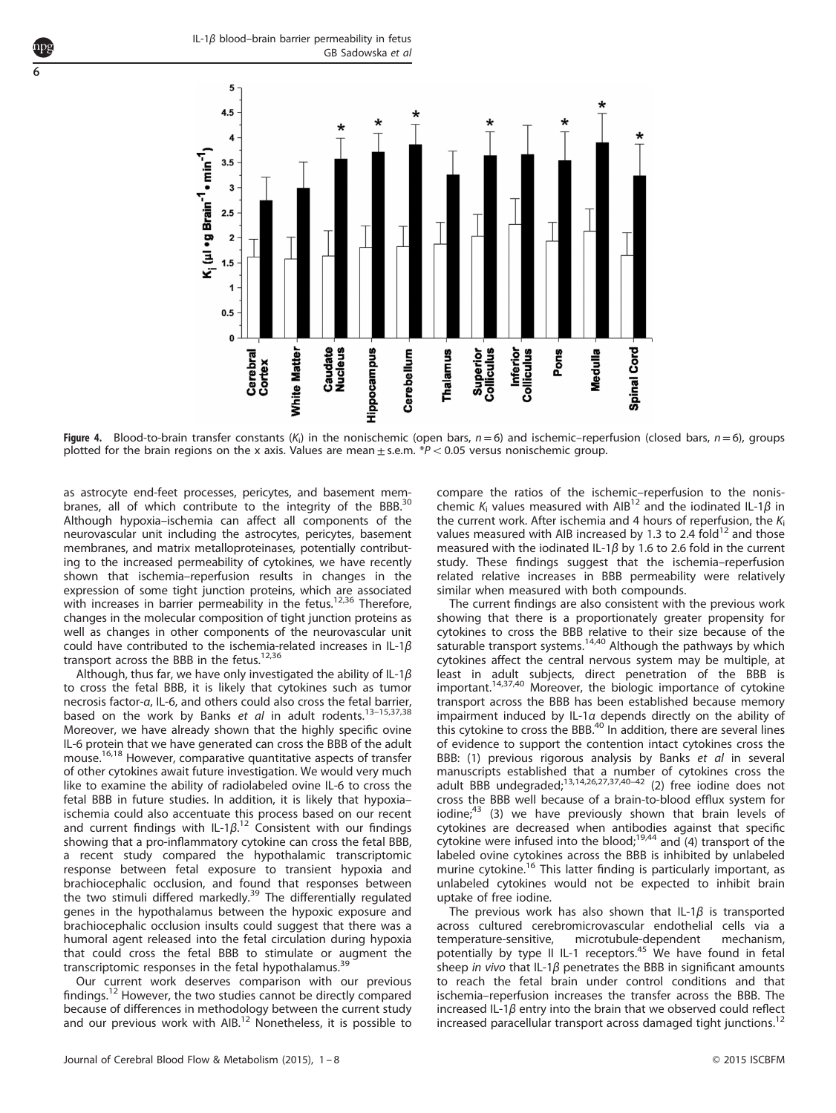<span id="page-5-0"></span>6



**Figure 4.** Blood-to-brain transfer constants (K<sub>i</sub>) in the nonischemic (open bars,  $n$  = 6) and ischemic–repei<br>plotted for the brain regions on the x axis. Values are mean ± s.e.m. \*P < 0.05 versus nonischemic group. Figure 4. Blood-to-brain transfer constants (K<sub>i</sub>) in the nonischemic (open bars,  $n=6$ ) and ischemic–reperfusion (closed bars,  $n=6$ ), groups

as astrocyte end-feet processes, pericytes, and basement mem-branes, all of which contribute to the integrity of the BBB.<sup>[30](#page-7-0)</sup> Although hypoxia–ischemia can affect all components of the neurovascular unit including the astrocytes, pericytes, basement membranes, and matrix metalloproteinases, potentially contributing to the increased permeability of cytokines, we have recently shown that ischemia–reperfusion results in changes in the expression of some tight junction proteins, which are associated with increases in barrier permeability in the fetus.<sup>12,[36](#page-7-0)</sup> Therefore, changes in the molecular composition of tight junction proteins as well as changes in other components of the neurovascular unit could have contributed to the ischemia-related increases in IL-1 $\beta$ transport across the BBB in the fetus.<sup>[12](#page-6-0),[36](#page-7-0)</sup>

Although, thus far, we have only investigated the ability of IL-1 $\beta$ to cross the fetal BBB, it is likely that cytokines such as tumor necrosis factor-α, IL-6, and others could also cross the fet[al bar](#page-6-0)rier, based on the work by Banks et al in adult rodents.<sup>13-15[,37](#page-7-0),[38](#page-7-0)</sup> Moreover, we have already shown that the highly specific ovine IL-6 protein that we have generated can cross the BBB of the adult mouse.[16](#page-6-0),[18](#page-6-0) However, comparative quantitative aspects of transfer of other cytokines await future investigation. We would very much like to examine the ability of radiolabeled ovine IL-6 to cross the fetal BBB in future studies. In addition, it is likely that hypoxia– ischemia could also accentuate this process based on our recent and current findings with IL-1 $\beta$ .<sup>[12](#page-6-0)</sup> Consistent with our findings showing that a pro-inflammatory cytokine can cross the fetal BBB, a recent study compared the hypothalamic transcriptomic response between fetal exposure to transient hypoxia and brachiocephalic occlusion, and found that responses between the two stimuli differed markedly.<sup>[39](#page-7-0)</sup> The differentially regulated genes in the hypothalamus between the hypoxic exposure and brachiocephalic occlusion insults could suggest that there was a humoral agent released into the fetal circulation during hypoxia that could cross the fetal BBB to stimulate or augment the transcriptomic responses in the fetal hypothalamus. $35$ 

Our current work deserves comparison with our previous findings.<sup>[12](#page-6-0)</sup> However, the two studies cannot be directly compared because of differences in methodology between the current study and our previous work with AIB.<sup>[12](#page-6-0)</sup> Nonetheless, it is possible to compare the ratios of the ischemic–reperfusion to the nonischemic K<sub>i</sub> values measured with AIB<sup>12</sup> and the iodinated IL-1 $\beta$  in the current work. After ischemia and 4 hours of reperfusion, the  $K_i$ values measured with AIB increased by 1.3 to 2.4 fold<sup>[12](#page-6-0)</sup> and those measured with the iodinated IL-1 $\beta$  by 1.6 to 2.6 fold in the current study. These findings suggest that the ischemia–reperfusion related relative increases in BBB permeability were relatively similar when measured with both compounds.

The current findings are also consistent with the previous work showing that there is a proportionately greater propensity for cytokines to cross the BBB relative to their size because of the<br>saturable transport systems.<sup>[14](#page-6-0),[40](#page-7-0)</sup> Although the pathways by which cytokines affect the central nervous system may be multiple, at least in adult subjects, direct penetration of the BBB is<br>important.<sup>[14](#page-6-0),[37,40](#page-7-0)</sup> Moreover, the biologic-importance-of-cytokine transport across the BBB has been established because memory impairment induced by IL-1α depends directly on the ability of this cytokine to cross the BBB.<sup>[40](#page-7-0)</sup> In addition, there are several lines of evidence to support the contention intact cytokines cross the BBB: (1) previous rigorous analysis by Banks et al in several manuscripts established that a n[umbe](#page-7-0)r of cytokines cross the adult BBB undegraded;<sup>[13](#page-6-0),[14,](#page-6-0)[26,27,37](#page-7-0),40–42</sup> (2) free iodine does not cross the BBB well because of a brain-to-blood efflux system for iodine; $43$  (3) we have previously shown that brain levels of cytokines are decreased when antibodies against that specific cytokine were infused into the blood;[19,](#page-6-0)[44](#page-7-0) and (4) transport of the labeled ovine cytokines across the BBB is inhibited by unlabeled murine cytokine.<sup>[16](#page-6-0)</sup> This latter finding is particularly important, as unlabeled cytokines would not be expected to inhibit brain uptake of free iodine.

The previous work has also shown that IL-1 $\beta$  is transported across cultured cerebromicrovascular endothelial cells via a temperature-sensitive, microtubule-dependent mechanism, potentially by type II IL-1 receptors.<sup>[45](#page-7-0)</sup> We have found in fetal sheep in vivo that IL-1 $\beta$  penetrates the BBB in significant amounts to reach the fetal brain under control conditions and that ischemia–reperfusion increases the transfer across the BBB. The increased IL-1 $\beta$  entry into the brain that we observed could reflect increased paracellular transport across damaged tight junctions.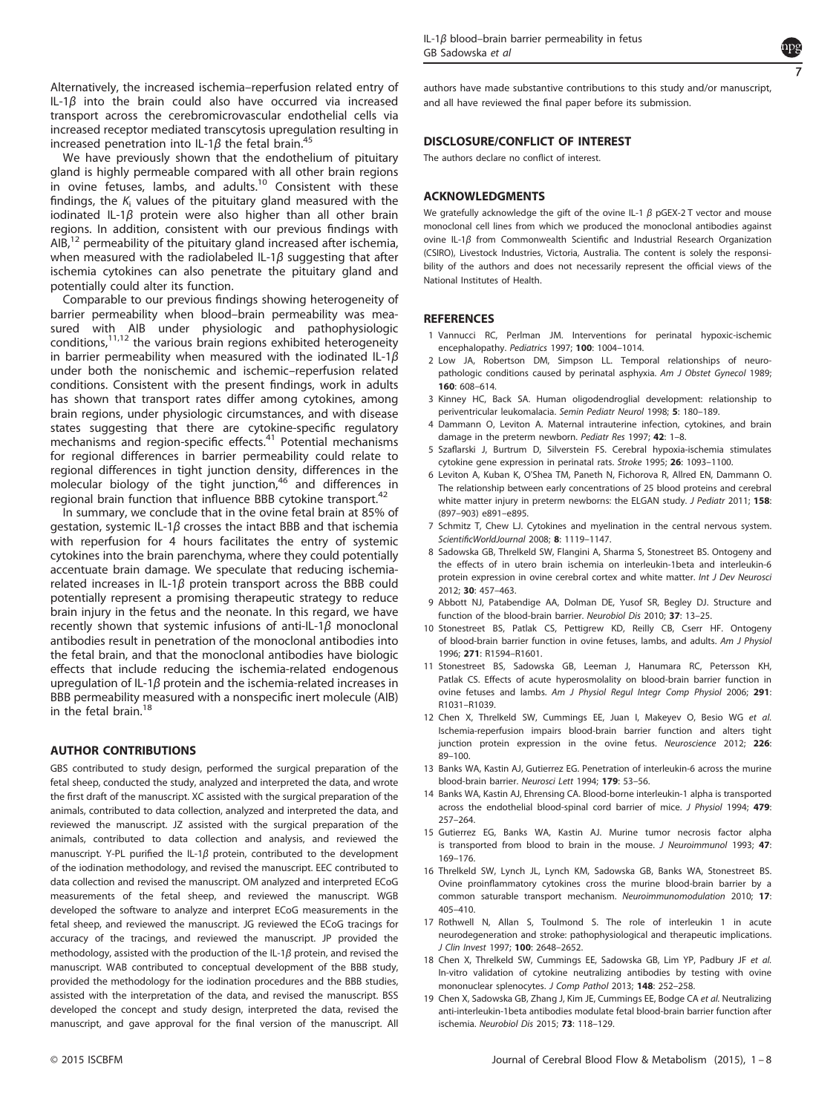

<span id="page-6-0"></span>Alternatively, the increased ischemia–reperfusion related entry of IL-1β into the brain could also have occurred via increased transport across the cerebromicrovascular endothelial cells via increased receptor mediated transcytosis upregulation resulting in increased penetration into IL-1 $\beta$  the fetal brain.<sup>[45](#page-7-0)</sup>

We have previously shown that the endothelium of pituitary gland is highly permeable compared with all other brain regions in ovine fetuses, lambs, and adults.<sup>10</sup> Consistent with these findings, the  $K_i$  values of the pituitary gland measured with the iodinated IL-1 $\beta$  protein were also higher than all other brain regions. In addition, consistent with our previous findings with AIB,<sup>12</sup> permeability of the pituitary gland increased after ischemia, when measured with the radiolabeled IL-1 $\beta$  suggesting that after ischemia cytokines can also penetrate the pituitary gland and potentially could alter its function.

Comparable to our previous findings showing heterogeneity of barrier permeability when blood–brain permeability was measured with AIB under physiologic and pathophysiologic conditions, $11,12$  the various brain regions exhibited heterogeneity in barrier permeability when measured with the iodinated IL-1 $\beta$ under both the nonischemic and ischemic–reperfusion related conditions. Consistent with the present findings, work in adults has shown that transport rates differ among cytokines, among brain regions, under physiologic circumstances, and with disease states suggesting that there are cytokine-specific regulatory mechanisms and region-specific effects.<sup>[41](#page-7-0)</sup> Potential mechanisms for regional differences in barrier permeability could relate to regional differences in tight junction density, differences in the molecular biology of the tight junction,<sup>[46](#page-7-0)</sup> and differences in regional brain function that influence BBB cytokine transport.<sup>4</sup>

In summary, we conclude that in the ovine fetal brain at 85% of gestation, systemic IL-1β crosses the intact BBB and that ischemia with reperfusion for 4 hours facilitates the entry of systemic cytokines into the brain parenchyma, where they could potentially accentuate brain damage. We speculate that reducing ischemiarelated increases in IL-1 $\beta$  protein transport across the BBB could potentially represent a promising therapeutic strategy to reduce brain injury in the fetus and the neonate. In this regard, we have recently shown that systemic infusions of anti-IL-1β monoclonal antibodies result in penetration of the monoclonal antibodies into the fetal brain, and that the monoclonal antibodies have biologic effects that include reducing the ischemia-related endogenous upregulation of IL-1 $\beta$  protein and the ischemia-related increases in BBB permeability measured with a nonspecific inert molecule (AIB) in the fetal brain.<sup>18</sup>

## AUTHOR CONTRIBUTIONS

GBS contributed to study design, performed the surgical preparation of the fetal sheep, conducted the study, analyzed and interpreted the data, and wrote the first draft of the manuscript. XC assisted with the surgical preparation of the animals, contributed to data collection, analyzed and interpreted the data, and reviewed the manuscript. JZ assisted with the surgical preparation of the animals, contributed to data collection and analysis, and reviewed the manuscript. Y-PL purified the IL-1β protein, contributed to the development of the iodination methodology, and revised the manuscript. EEC contributed to data collection and revised the manuscript. OM analyzed and interpreted ECoG measurements of the fetal sheep, and reviewed the manuscript. WGB developed the software to analyze and interpret ECoG measurements in the fetal sheep, and reviewed the manuscript. JG reviewed the ECoG tracings for accuracy of the tracings, and reviewed the manuscript. JP provided the methodology, assisted with the production of the IL-1 $\beta$  protein, and revised the manuscript. WAB contributed to conceptual development of the BBB study, provided the methodology for the iodination procedures and the BBB studies, assisted with the interpretation of the data, and revised the manuscript. BSS developed the concept and study design, interpreted the data, revised the manuscript, and gave approval for the final version of the manuscript. All authors have made substantive contributions to this study and/or manuscript, and all have reviewed the final paper before its submission.

# DISCLOSURE/CONFLICT OF INTEREST

The authors declare no conflict of interest.

## ACKNOWLEDGMENTS

We gratefully acknowledge the gift of the ovine IL-1  $\beta$  pGEX-2 T vector and mouse monoclonal cell lines from which we produced the monoclonal antibodies against ovine IL-1β from Commonwealth Scientific and Industrial Research Organization (CSIRO), Livestock Industries, Victoria, Australia. The content is solely the responsibility of the authors and does not necessarily represent the official views of the National Institutes of Health.

#### **REFERENCES**

- 1 Vannucci RC, Perlman JM. Interventions for perinatal hypoxic-ischemic encephalopathy. Pediatrics 1997; 100: 1004–1014.
- 2 Low JA, Robertson DM, Simpson LL. Temporal relationships of neuropathologic conditions caused by perinatal asphyxia. Am J Obstet Gynecol 1989; 160: 608–614.
- 3 Kinney HC, Back SA. Human oligodendroglial development: relationship to periventricular leukomalacia. Semin Pediatr Neurol 1998; 5: 180–189.
- 4 Dammann O, Leviton A. Maternal intrauterine infection, cytokines, and brain damage in the preterm newborn. Pediatr Res 1997; 42: 1–8.
- 5 Szaflarski J, Burtrum D, Silverstein FS. Cerebral hypoxia-ischemia stimulates cytokine gene expression in perinatal rats. Stroke 1995; 26: 1093–1100.
- 6 Leviton A, Kuban K, O'Shea TM, Paneth N, Fichorova R, Allred EN, Dammann O. The relationship between early concentrations of 25 blood proteins and cerebral white matter injury in preterm newborns: the ELGAN study. J Pediatr 2011; 158: (897–903) e891–e895.
- 7 Schmitz T, Chew LJ. Cytokines and myelination in the central nervous system. ScientificWorldJournal 2008; 8: 1119–1147.
- 8 Sadowska GB, Threlkeld SW, Flangini A, Sharma S, Stonestreet BS. Ontogeny and the effects of in utero brain ischemia on interleukin-1beta and interleukin-6 protein expression in ovine cerebral cortex and white matter. Int J Dev Neurosci 2012; 30: 457–463.
- 9 Abbott NJ, Patabendige AA, Dolman DE, Yusof SR, Begley DJ. Structure and function of the blood-brain barrier. Neurobiol Dis 2010; 37: 13–25.
- 10 Stonestreet BS, Patlak CS, Pettigrew KD, Reilly CB, Cserr HF. Ontogeny of blood-brain barrier function in ovine fetuses, lambs, and adults. Am J Physiol 1996; 271: R1594–R1601.
- 11 Stonestreet BS, Sadowska GB, Leeman J, Hanumara RC, Petersson KH, Patlak CS. Effects of acute hyperosmolality on blood-brain barrier function in ovine fetuses and lambs. Am J Physiol Regul Integr Comp Physiol 2006; 291: R1031–R1039.
- 12 Chen X, Threlkeld SW, Cummings EE, Juan I, Makeyev O, Besio WG et al. Ischemia-reperfusion impairs blood-brain barrier function and alters tight junction protein expression in the ovine fetus. Neuroscience 2012; 226: 89–100.
- 13 Banks WA, Kastin AJ, Gutierrez EG. Penetration of interleukin-6 across the murine blood-brain barrier. Neurosci Lett 1994; 179: 53–56.
- 14 Banks WA, Kastin AJ, Ehrensing CA. Blood-borne interleukin-1 alpha is transported across the endothelial blood-spinal cord barrier of mice. J Physiol 1994; 479: 257–264.
- 15 Gutierrez EG, Banks WA, Kastin AJ. Murine tumor necrosis factor alpha is transported from blood to brain in the mouse. J Neuroimmunol 1993; 47: 169–176.
- 16 Threlkeld SW, Lynch JL, Lynch KM, Sadowska GB, Banks WA, Stonestreet BS. Ovine proinflammatory cytokines cross the murine blood-brain barrier by a common saturable transport mechanism. Neuroimmunomodulation 2010; 17: 405–410.
- 17 Rothwell N, Allan S, Toulmond S. The role of interleukin 1 in acute neurodegeneration and stroke: pathophysiological and therapeutic implications. J Clin Invest 1997; 100: 2648–2652.
- 18 Chen X, Threlkeld SW, Cummings EE, Sadowska GB, Lim YP, Padbury JF et al. In-vitro validation of cytokine neutralizing antibodies by testing with ovine mononuclear splenocytes. J Comp Pathol 2013; 148: 252–258.
- 19 Chen X, Sadowska GB, Zhang J, Kim JE, Cummings EE, Bodge CA et al. Neutralizing anti-interleukin-1beta antibodies modulate fetal blood-brain barrier function after ischemia. Neurobiol Dis 2015; 73: 118–129.